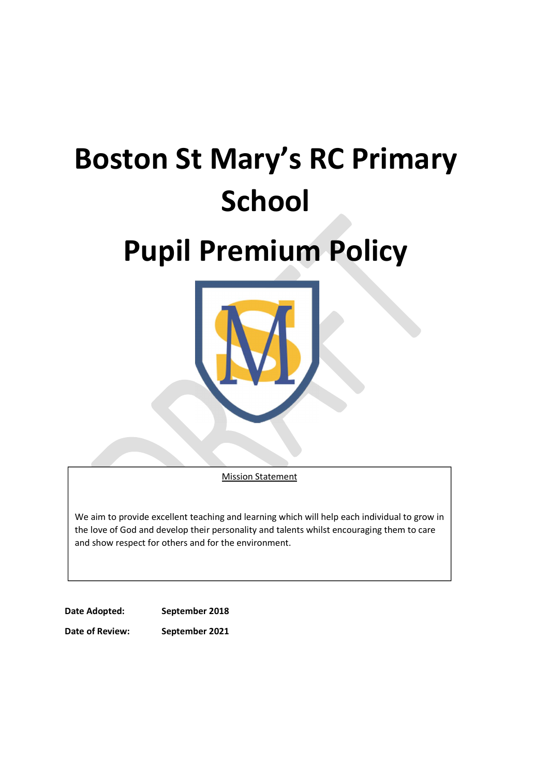# Boston St Mary's RC Primary **School**

# Pupil Premium Policy



**Mission Statement** 

We aim to provide excellent teaching and learning which will help each individual to grow in the love of God and develop their personality and talents whilst encouraging them to care and show respect for others and for the environment.

Date Adopted: September 2018 Date of Review: September 2021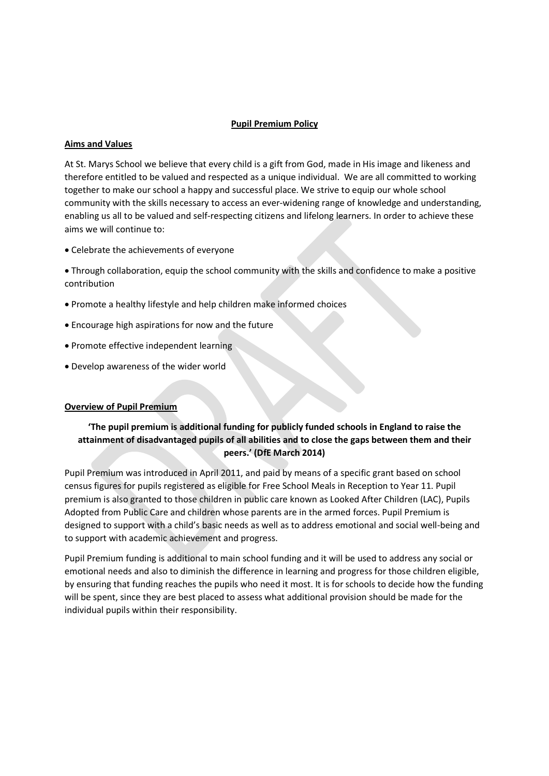## Pupil Premium Policy

#### Aims and Values

At St. Marys School we believe that every child is a gift from God, made in His image and likeness and therefore entitled to be valued and respected as a unique individual. We are all committed to working together to make our school a happy and successful place. We strive to equip our whole school community with the skills necessary to access an ever-widening range of knowledge and understanding, enabling us all to be valued and self-respecting citizens and lifelong learners. In order to achieve these aims we will continue to:

Celebrate the achievements of everyone

 Through collaboration, equip the school community with the skills and confidence to make a positive contribution

- Promote a healthy lifestyle and help children make informed choices
- Encourage high aspirations for now and the future
- Promote effective independent learning
- Develop awareness of the wider world

### Overview of Pupil Premium

# 'The pupil premium is additional funding for publicly funded schools in England to raise the attainment of disadvantaged pupils of all abilities and to close the gaps between them and their peers.' (DfE March 2014)

Pupil Premium was introduced in April 2011, and paid by means of a specific grant based on school census figures for pupils registered as eligible for Free School Meals in Reception to Year 11. Pupil premium is also granted to those children in public care known as Looked After Children (LAC), Pupils Adopted from Public Care and children whose parents are in the armed forces. Pupil Premium is designed to support with a child's basic needs as well as to address emotional and social well-being and to support with academic achievement and progress.

Pupil Premium funding is additional to main school funding and it will be used to address any social or emotional needs and also to diminish the difference in learning and progress for those children eligible, by ensuring that funding reaches the pupils who need it most. It is for schools to decide how the funding will be spent, since they are best placed to assess what additional provision should be made for the individual pupils within their responsibility.